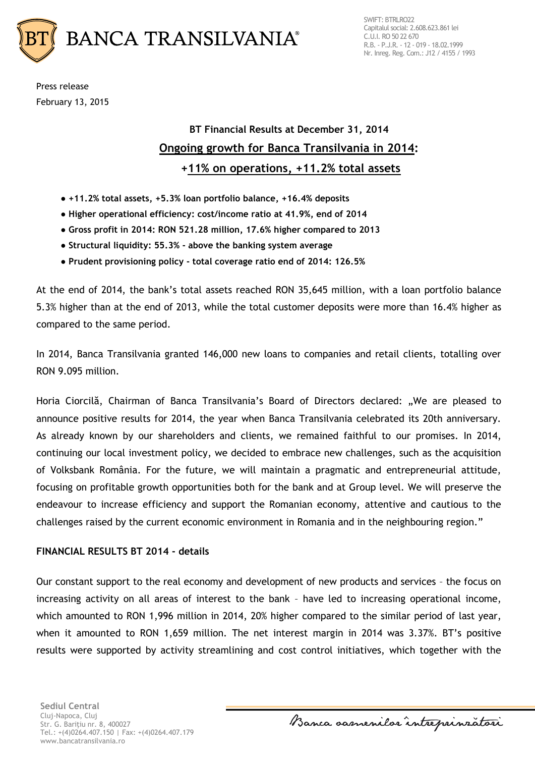

Press release February 13, 2015

## **BT Financial Results at December 31, 2014 Ongoing growth for Banca Transilvania in 2014: +11% on operations, +11.2% total assets**

- **+11.2% total assets, +5.3% loan portfolio balance, +16.4% deposits**
- **Higher operational efficiency: cost/income ratio at 41.9%, end of 2014**
- **Gross profit in 2014: RON 521.28 million, 17.6% higher compared to 2013**
- **Structural liquidity: 55.3% - above the banking system average**
- **Prudent provisioning policy - total coverage ratio end of 2014: 126.5%**

At the end of 2014, the bank's total assets reached RON 35,645 million, with a loan portfolio balance 5.3% higher than at the end of 2013, while the total customer deposits were more than 16.4% higher as compared to the same period.

In 2014, Banca Transilvania granted 146,000 new loans to companies and retail clients, totalling over RON 9.095 million.

Horia Ciorcilă, Chairman of Banca Transilvania's Board of Directors declared: "We are pleased to announce positive results for 2014, the year when Banca Transilvania celebrated its 20th anniversary. As already known by our shareholders and clients, we remained faithful to our promises. In 2014, continuing our local investment policy, we decided to embrace new challenges, such as the acquisition of Volksbank România. For the future, we will maintain a pragmatic and entrepreneurial attitude, focusing on profitable growth opportunities both for the bank and at Group level. We will preserve the endeavour to increase efficiency and support the Romanian economy, attentive and cautious to the challenges raised by the current economic environment in Romania and in the neighbouring region."

## **FINANCIAL RESULTS BT 2014 - details**

Our constant support to the real economy and development of new products and services – the focus on increasing activity on all areas of interest to the bank – have led to increasing operational income, which amounted to RON 1,996 million in 2014, 20% higher compared to the similar period of last year, when it amounted to RON 1,659 million. The net interest margin in 2014 was 3.37%. BT's positive results were supported by activity streamlining and cost control initiatives, which together with the

**Sediul Central** Cluj-Napoca, Cluj Str. G. Bariţiu nr. 8, 400027 Tel.: +(4)0264.407.150 | Fax: +(4)0264.407.179 www.bancatransilvania.ro

Banca samenilor intreprinzatori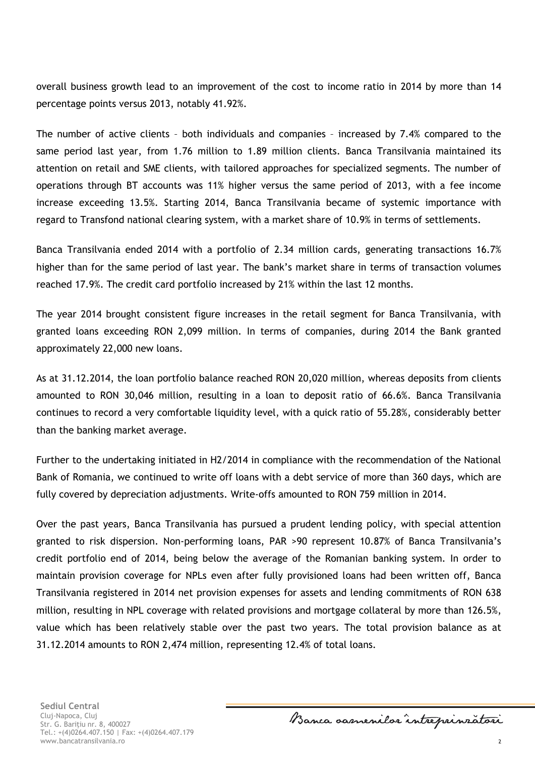overall business growth lead to an improvement of the cost to income ratio in 2014 by more than 14 percentage points versus 2013, notably 41.92%.

The number of active clients – both individuals and companies – increased by 7.4% compared to the same period last year, from 1.76 million to 1.89 million clients. Banca Transilvania maintained its attention on retail and SME clients, with tailored approaches for specialized segments. The number of operations through BT accounts was 11% higher versus the same period of 2013, with a fee income increase exceeding 13.5%. Starting 2014, Banca Transilvania became of systemic importance with regard to Transfond national clearing system, with a market share of 10.9% in terms of settlements.

Banca Transilvania ended 2014 with a portfolio of 2.34 million cards, generating transactions 16.7% higher than for the same period of last year. The bank's market share in terms of transaction volumes reached 17.9%. The credit card portfolio increased by 21% within the last 12 months.

The year 2014 brought consistent figure increases in the retail segment for Banca Transilvania, with granted loans exceeding RON 2,099 million. In terms of companies, during 2014 the Bank granted approximately 22,000 new loans.

As at 31.12.2014, the loan portfolio balance reached RON 20,020 million, whereas deposits from clients amounted to RON 30,046 million, resulting in a loan to deposit ratio of 66.6%. Banca Transilvania continues to record a very comfortable liquidity level, with a quick ratio of 55.28%, considerably better than the banking market average.

Further to the undertaking initiated in H2/2014 in compliance with the recommendation of the National Bank of Romania, we continued to write off loans with a debt service of more than 360 days, which are fully covered by depreciation adjustments. Write-offs amounted to RON 759 million in 2014.

Over the past years, Banca Transilvania has pursued a prudent lending policy, with special attention granted to risk dispersion. Non-performing loans, PAR >90 represent 10.87% of Banca Transilvania's credit portfolio end of 2014, being below the average of the Romanian banking system. In order to maintain provision coverage for NPLs even after fully provisioned loans had been written off, Banca Transilvania registered in 2014 net provision expenses for assets and lending commitments of RON 638 million, resulting in NPL coverage with related provisions and mortgage collateral by more than 126.5%, value which has been relatively stable over the past two years. The total provision balance as at 31.12.2014 amounts to RON 2,474 million, representing 12.4% of total loans.

Banca samenilar intreprinratori

2